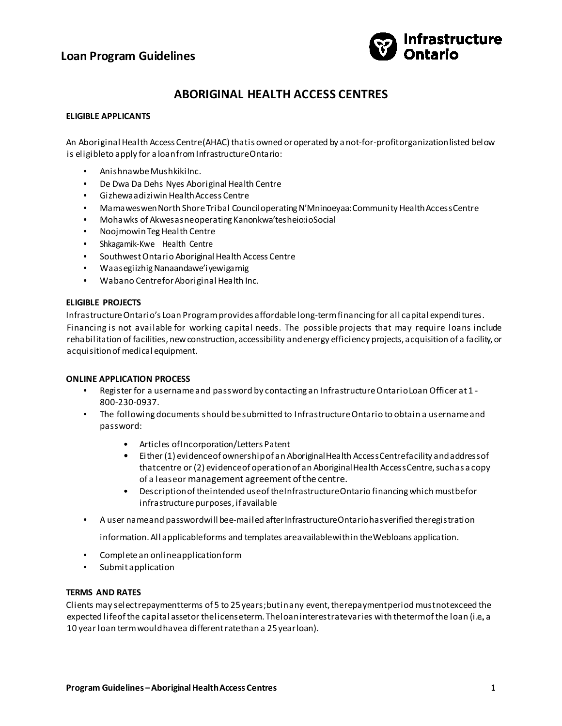

# **ABORIGINAL HEALTH ACCESS CENTRES**

## **ELIGIBLE APPLICANTS**

An Aboriginal Health Access Centre(AHAC) that is owned or operated by a not-for-profitorganizationlisted below is eligibleto apply for a loanfromInfrastructureOntario:

- Anishnawbe MushkikiInc.
- De Dwa Da Dehs Nyes Aboriginal Health Centre
- Gizhewaadiziwin HealthAccess Centre
- Mamaweswen North Shore Tribal Council operating N'Mninoeyaa: Community Health Access Centre
- Mohawks of Akwesasneoperating Kanonkwa'tesheio:ioSocial
- NoojmowinTeg Health Centre
- Shkagamik-Kwe Health Centre
- SouthwestOntario Aboriginal Health Access Centre
- Waasegiizhig Nanaandawe'iyewiga mig
- Wabano CentreforAboriginal Health Inc.

## **ELIGIBLE PROJECTS**

Infrastructure Ontario's Loan Program provides affordable long-term financing for all capital expenditures. Financing is not available for working capital needs. The possible projects that may require loans include rehabilitation of facilities, newconstruction, accessibility andenergy efficiency projects, acquisition of a facility, or acquisitionofmedical equipment.

## **ONLINE APPLICATION PROCESS**

- Register for a username and password by contacting an Infrastructure OntarioLoan Officer at 1 800-230-0937.
- The following documents should be submitted to Infrastructure Ontario to obtain a username and password:
	- Articles ofIncorporation/Letters Patent
	- Either (1) evidenceof ownershipof an AboriginalHealth AccessCentrefacility andaddressof thatcentre or (2) evidence of operation of an Aboriginal Health Access Centre, such as a copy of a leaseor management agreement of the centre.
	- Description of the intended use of the Infrastructure Ontario financing which mustbefor infrastructure purposes, ifavailable
- A user nameand passwordwill bee-mailed afterInfrastructureOntariohasverified theregistration

information. All applicableforms and templates areavailablewithin theWebloans application.

- Completean onlineapplicationform
- Submit application

## **TERMS AND RATES**

Clients may selectrepaymentterms of 5 to 25 years; butinany event, the repayment period mustnotexceed the expected lifeofthe capital assetor thelicenseterm. Theloaninterestratevaries with thetermofthe loan (i.e., a 10 year loan termwouldhavea differentratethan a 25yearloan).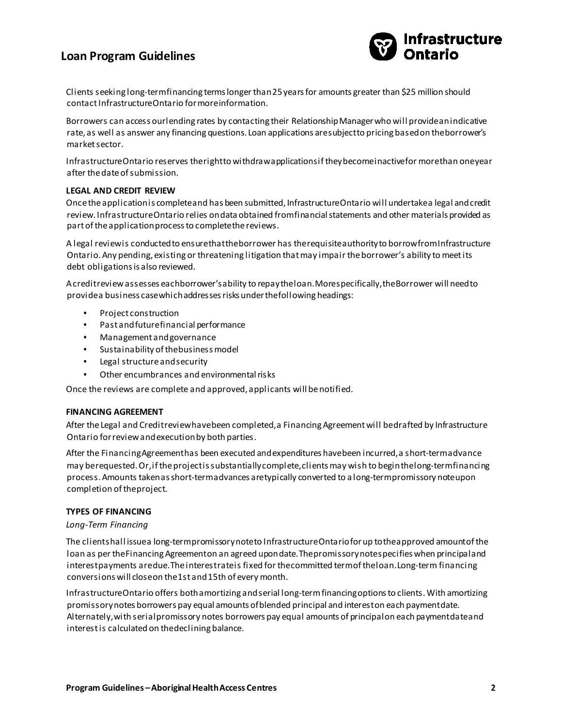## **Loan Program Guidelines**



Clients seeking long-termfinancing termslonger than25yearsfor amounts greater than \$25 million should contactInfrastructureOntario formoreinformation.

Borrowers can access ourlending rates by contacting their RelationshipManagerwho will provideanindicative rate, as well as answer any financing questions. Loan applications aresubjectto pricing basedon theborrower's marketsector.

InfrastructureOntario reserves therightto withdrawapplicationsiftheybecomeinactivefor morethan oneyear after thedateofsubmission.

### **LEGAL AND CREDIT REVIEW**

Oncetheapplicationis completeand has been submitted, InfrastructureOntario will undertakea legal andcredit review. InfrastructureOntario relies ondata obtained fromfinancialstatements and other materials provided as part of the application process to complete the reviews.

A legal reviewis conductedto ensurethattheborrower has therequisiteauthorityto borrowfromInfrastructure Ontario. Any pending, existing or threatening litigation that may impair the borrower's ability to meet its debt obligations is also reviewed.

Acreditreviewassesses eachborrower'sability to repaytheloan.Morespecifically,theBorrower will needto providea business casewhichaddressesrisks underthefollowing headings:

- Project construction
- Past andfuturefinancial performance
- Management andgovernance
- Sustainability of thebusiness model
- Legal structure and security
- Other encumbrances and environmental risks

Once the reviews are complete and approved, applicants will be notified.

#### **FINANCING AGREEMENT**

After theLegal and Creditreviewhavebeen completed,a Financing Agreementwill bedrafted by Infrastructure Ontario forreviewandexecutionby both parties.

After the FinancingAgreementhas been executed andexpenditures havebeen incurred,a short-termadvance may berequested.Or,iftheprojectissubstantiallycomplete,clientsmay wish to beginthelong-termfinancing process.Amounts takenasshort-termadvances aretypically converted to a long-termpromissory noteupon completion of the project.

#### **TYPES OF FINANCING**

#### *Long-Term Financing*

The clientshall issuea long-termpromissorynoteto InfrastructureOntarioforup totheapproved amountofthe loan as per theFinancing Agreementon an agreed upondate.Thepromissorynotespecifies when principaland interestpayments aredue.Theinterestrateis fixed for thecommitted termoftheloan.Long-term financing conversions will closeon the1st and15th of every month.

InfrastructureOntario offers bothamortizing andserial long-termfinancingoptionsto clients.With amortizing promissorynotes borrowers pay equal amounts ofblended principal and intereston each paymentdate. Alternately,with serialpromissory notes borrowers pay equal amounts of principalon each paymentdateand interestis calculated on thedeclining balance.